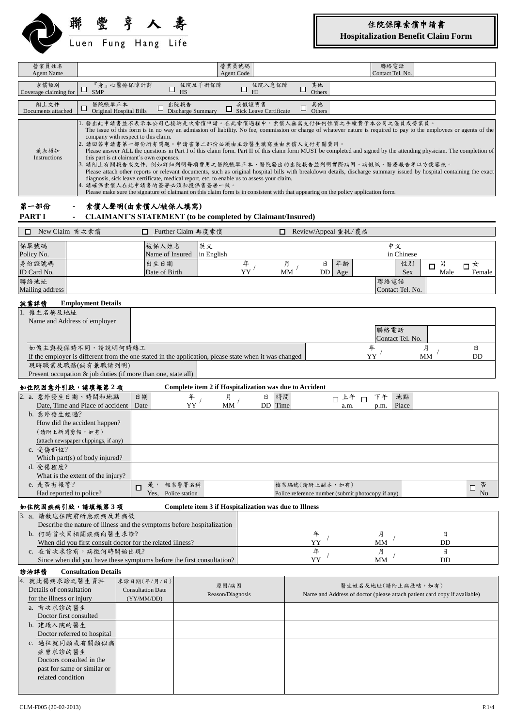

# 住院保障索償申請書

**Hospitalization Benefit Claim Form**

| 營業員姓名<br><b>Agent Name</b>                                                                                                                                                                                                                                                                                                                                                                                                                                                                                                                                                                                                                                                                                                                                                                                                                                                                                                                                                                                                                                                                |                                                                                                                                                                                                                                                                                                                   |                                                       |                                             | 營業員號碼<br>Agent Code       |                                                        |                    |                             | 聯絡電話<br>Contact Tel. No.                                                                 |                                                                           |                               |
|-------------------------------------------------------------------------------------------------------------------------------------------------------------------------------------------------------------------------------------------------------------------------------------------------------------------------------------------------------------------------------------------------------------------------------------------------------------------------------------------------------------------------------------------------------------------------------------------------------------------------------------------------------------------------------------------------------------------------------------------------------------------------------------------------------------------------------------------------------------------------------------------------------------------------------------------------------------------------------------------------------------------------------------------------------------------------------------------|-------------------------------------------------------------------------------------------------------------------------------------------------------------------------------------------------------------------------------------------------------------------------------------------------------------------|-------------------------------------------------------|---------------------------------------------|---------------------------|--------------------------------------------------------|--------------------|-----------------------------|------------------------------------------------------------------------------------------|---------------------------------------------------------------------------|-------------------------------|
| 索償類別<br>Coverage claiming for                                                                                                                                                                                                                                                                                                                                                                                                                                                                                                                                                                                                                                                                                                                                                                                                                                                                                                                                                                                                                                                             | □<br><b>SMP</b>                                                                                                                                                                                                                                                                                                   | 『身』心醫療保障計劃                                            | □<br>HS                                     | 住院及手術保障                   | 住院入息保障<br>$\Box$<br>H                                  | 其他<br>□<br>Others  |                             |                                                                                          |                                                                           |                               |
| 附上文件<br>Documents attached                                                                                                                                                                                                                                                                                                                                                                                                                                                                                                                                                                                                                                                                                                                                                                                                                                                                                                                                                                                                                                                                | 醫院帳單正本<br>Ц                                                                                                                                                                                                                                                                                                       | Original Hospital Bills                               | 出院報告<br>□<br>Discharge Summary              |                           | 病假證明書<br>$\Box$ Sick Leave Certificate                 | 其他<br>□<br>Others  |                             |                                                                                          |                                                                           |                               |
| 1. 發出此申請書並不表示本公司已接納是次索償申請。在此索償過程中,索償人無需支付任何性質之手續費予本公司之僱員或營業員。<br>The issue of this form is in no way an admission of liability. No fee, commission or charge of whatever nature is required to pay to the employees or agents of the<br>company with respect to this claim.<br>2. 請回答申請書第一部份所有問題。申請書第二部份必須由主診醫生填寫並由索償人支付有關費用。<br>Please answer ALL the questions in Part I of this claim form. Part II of this claim form MUST be completed and signed by the attending physician. The completion of<br>填表須知<br>Instructions<br>this part is at claimant's own expenses.<br>3. 請附上有關報告或文件, 例如詳細列明每項費用之醫院帳單正本、醫院發出的出院報告並列明實際病因、病假紙、醫療報告等以方便審核。<br>Please attach other reports or relevant documents, such as original hospital bills with breakdown details, discharge summary issued by hospital containing the exact<br>diagnosis, sick leave certificate, medical report, etc. to enable us to assess your claim.<br>4. 請確保索償人在此申請書的簽署必須和投保書簽署一致。<br>Please make sure the signature of claimant on this claim form is in consistent with that appearing on the policy application form. |                                                                                                                                                                                                                                                                                                                   |                                                       |                                             |                           |                                                        |                    |                             |                                                                                          |                                                                           |                               |
| 第一部份<br>索償人聲明(由索償人/被保人填寫)<br>PART I<br><b>CLAIMANT'S STATEMENT (to be completed by Claimant/Insured)</b>                                                                                                                                                                                                                                                                                                                                                                                                                                                                                                                                                                                                                                                                                                                                                                                                                                                                                                                                                                                  |                                                                                                                                                                                                                                                                                                                   |                                                       |                                             |                           |                                                        |                    |                             |                                                                                          |                                                                           |                               |
| □                                                                                                                                                                                                                                                                                                                                                                                                                                                                                                                                                                                                                                                                                                                                                                                                                                                                                                                                                                                                                                                                                         | New Claim 首次索償                                                                                                                                                                                                                                                                                                    | □                                                     | Further Claim 再度索償                          |                           | п                                                      |                    | Review/Appeal 重批/覆核         |                                                                                          |                                                                           |                               |
| 保單號碼<br>Policy No.                                                                                                                                                                                                                                                                                                                                                                                                                                                                                                                                                                                                                                                                                                                                                                                                                                                                                                                                                                                                                                                                        |                                                                                                                                                                                                                                                                                                                   |                                                       | 被保人姓名<br>Name of Insured                    | 英文<br>in English          |                                                        |                    |                             | 中文<br>in Chinese                                                                         |                                                                           |                               |
| 身份證號碼<br>ID Card No.                                                                                                                                                                                                                                                                                                                                                                                                                                                                                                                                                                                                                                                                                                                                                                                                                                                                                                                                                                                                                                                                      |                                                                                                                                                                                                                                                                                                                   |                                                       | 出生日期<br>Date of Birth                       |                           | 年<br>YY'                                               | 月<br>MM            | 年齢<br>日<br><b>DD</b><br>Age |                                                                                          | 男<br>性別<br>$\Box$<br>Male<br><b>Sex</b>                                   | 女<br>$\Box$<br>Female         |
| 聯絡地址<br>Mailing address                                                                                                                                                                                                                                                                                                                                                                                                                                                                                                                                                                                                                                                                                                                                                                                                                                                                                                                                                                                                                                                                   |                                                                                                                                                                                                                                                                                                                   |                                                       |                                             |                           |                                                        |                    |                             | 聯絡電話<br>Contact Tel. No.                                                                 |                                                                           |                               |
| 就業詳情<br>1. 僱主名稱及地址                                                                                                                                                                                                                                                                                                                                                                                                                                                                                                                                                                                                                                                                                                                                                                                                                                                                                                                                                                                                                                                                        | <b>Employment Details</b><br>Name and Address of employer<br>如僱主與投保時不同,請說明何時轉工<br>If the employer is different from the one stated in the application, please state when it was changed<br>現時職業及職務(倘有兼職請列明)                                                                                                       |                                                       |                                             |                           |                                                        |                    |                             | 聯絡電話<br>Contact Tel. No.<br>年<br>YY                                                      | 月<br><b>MM</b>                                                            | 日<br>DD                       |
|                                                                                                                                                                                                                                                                                                                                                                                                                                                                                                                                                                                                                                                                                                                                                                                                                                                                                                                                                                                                                                                                                           | Present occupation $\&$ job duties (if more than one, state all)<br>如住院因意外引致,請填報第2項                                                                                                                                                                                                                               |                                                       |                                             |                           | Complete item 2 if Hospitalization was due to Accident |                    |                             |                                                                                          |                                                                           |                               |
| b. 意外發生經過?<br>c. 受傷部位?<br>d. 受傷程度?<br>e. 是否有報警?                                                                                                                                                                                                                                                                                                                                                                                                                                                                                                                                                                                                                                                                                                                                                                                                                                                                                                                                                                                                                                           | 2. a. 意外發生日期、時間和地點<br>Date, Time and Place of accident<br>How did the accident happen?<br>(請附上新聞剪報,如有)<br>(attach newspaper clippings, if any)<br>Which part(s) of body injured?<br>What is the extent of the injury?<br>Had reported to police?                                                                  | 日期<br>Date<br>П                                       | 年<br>YY<br>是, 報案警署名稱<br>Yes, Police station | 月<br>MM                   | 日<br>時間<br>DD Time                                     | 檔案編號(請附上副本,如有)     | 口上午<br>a.m.                 | 下午<br>地點<br>$\Box$<br>Place<br>p.m.<br>Police reference number (submit photocopy if any) |                                                                           | 否<br>$\Box$<br>N <sub>o</sub> |
|                                                                                                                                                                                                                                                                                                                                                                                                                                                                                                                                                                                                                                                                                                                                                                                                                                                                                                                                                                                                                                                                                           | 如住院因疾病引致,請填報第3項                                                                                                                                                                                                                                                                                                   |                                                       |                                             |                           | Complete item 3 if Hospitalization was due to Illness  |                    |                             |                                                                                          |                                                                           |                               |
| 診治詳情                                                                                                                                                                                                                                                                                                                                                                                                                                                                                                                                                                                                                                                                                                                                                                                                                                                                                                                                                                                                                                                                                      | 3. a. 請敘述住院前所患疾病及其病徵<br>Describe the nature of illness and the symptoms before hospitalization<br>b. 何時首次因相關疾病向醫生求診?<br>When did you first consult doctor for the related illness?<br>c. 在首次求診前,病徵何時開始出現?<br>Since when did you have these symptoms before the first consultation?<br><b>Consultation Details</b> |                                                       |                                             |                           |                                                        | 年<br>YY<br>年<br>YY |                             | 月<br>MM<br>月<br>MM                                                                       | 日<br>DD<br>$\boxminus$<br>DD                                              |                               |
| 4. 就此傷病求診之醫生資料<br>Details of consultation<br>for the illness or injury                                                                                                                                                                                                                                                                                                                                                                                                                                                                                                                                                                                                                                                                                                                                                                                                                                                                                                                                                                                                                    |                                                                                                                                                                                                                                                                                                                   | 求診日期(年/月/日)<br><b>Consultation Date</b><br>(YY/MM/DD) |                                             | 原因/病因<br>Reason/Diagnosis |                                                        |                    |                             | 醫生姓名及地址(請附上病歷咭,如有)                                                                       | Name and Address of doctor (please attach patient card copy if available) |                               |
| a. 首次求診的醫生<br>b. 建議入院的醫生<br>症曾求診的醫生<br>related condition                                                                                                                                                                                                                                                                                                                                                                                                                                                                                                                                                                                                                                                                                                                                                                                                                                                                                                                                                                                                                                  | Doctor first consulted<br>Doctor referred to hospital<br>c. 過往就同類或有關類似病<br>Doctors consulted in the<br>past for same or similar or                                                                                                                                                                                |                                                       |                                             |                           |                                                        |                    |                             |                                                                                          |                                                                           |                               |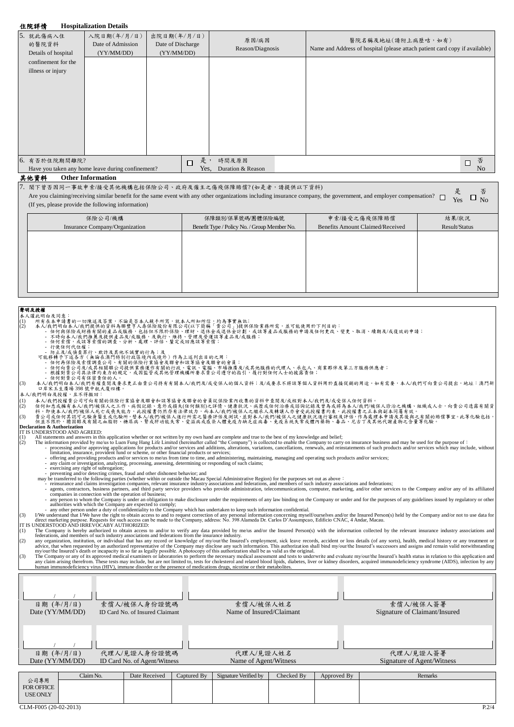## 住院詳情 **Hospitalization Details**

| 5. 就此傷病入住<br>的醫院資料<br>Details of hospital | 入院日期(年/月/日)<br>Date of Admission<br>(YY/MM/DD)    | 出院日期(年/月/日)<br>Date of Discharge<br>(YY/MM/DD) |         | 原因/病因<br>Reason/Diagnosis | 醫院名稱及地址(請附上病歷咭,如有)<br>Name and Address of hospital (please attach patient card copy if available) |             |
|-------------------------------------------|---------------------------------------------------|------------------------------------------------|---------|---------------------------|---------------------------------------------------------------------------------------------------|-------------|
| confinement for the                       |                                                   |                                                |         |                           |                                                                                                   |             |
| illness or injury                         |                                                   |                                                |         |                           |                                                                                                   |             |
|                                           |                                                   |                                                |         |                           |                                                                                                   |             |
|                                           |                                                   |                                                |         |                           |                                                                                                   |             |
|                                           |                                                   |                                                |         |                           |                                                                                                   |             |
|                                           |                                                   |                                                |         |                           |                                                                                                   |             |
|                                           |                                                   |                                                |         |                           |                                                                                                   |             |
|                                           |                                                   |                                                |         |                           |                                                                                                   |             |
|                                           |                                                   |                                                |         |                           |                                                                                                   |             |
|                                           |                                                   |                                                |         |                           |                                                                                                   |             |
| 6. 有否於住院期間離院?                             |                                                   |                                                | 是,<br>П | 時間及原因                     |                                                                                                   | 否<br>$\Box$ |
|                                           | Have you taken any home leave during confinement? |                                                | Yes.    | Duration & Reason         |                                                                                                   | Nο          |

### 其他資料 **Other Information**

7. 閣下曾否因同一事故申索/接受其他機構包括保險公司、政府及僱主之傷殘保障賠償? (如是者,請提供以下資料)

Are you claiming/receiving similar benefit for the same event with any other organizations including insurance company, the government, and employer compensation?  $\Box$ (If yes, please provide the following information) 是 Yes 否  $\square$  No

| 保險公司/機構                        | 保障類別/保單號碼/團體保險編號                             | 申索/接受之傷殘保障賠償                            | 結果/狀況         |
|--------------------------------|----------------------------------------------|-----------------------------------------|---------------|
| Insurance Company/Organization | Benefit Type / Policy No. / Group Member No. | <b>Benefits Amount Claimed/Received</b> | Result/Status |
|                                |                                              |                                         |               |
|                                |                                              |                                         |               |
|                                |                                              |                                         |               |
|                                |                                              |                                         |               |
|                                |                                              |                                         |               |
|                                |                                              |                                         |               |
|                                |                                              |                                         |               |
|                                |                                              |                                         |               |

- 
- 
- 
- 
- 
- 
- 
- 
- 
- 
- **辈明及接權**<br>10、水果有效。<br>(1) 所有人称明著的一切陳述及答案,不論是否本人親手所寫,就本人所知所信,均為事實無能;<br>(2) 本人在中間有本人/我們提供的資料為聯盟等人尋保險股份有限公司(以下簡稱「資公司」)提供保險業務所需,並可能使用於下列目的;<br>- 在何有所不太被們提供的資料為聯盟等人尋保險股份有限公司(以下簡稱「資公司」)提供保險業務所需,並可能使用於下列目的;<br>- 不時向本人或們提高及提供產品及及販務,及執行、維持、管理及

- 
- 
- (1) 本人我們授權資公司可向有關的保险行業協會及聯合和該等協會及聯會的會員從保险業內收集的資料中查閱及人或統對本人/我們及成受保人任何資料。<br>(2) 任何知悉或擁有本人/我們被保人之工作、病假記錄、意外或損失(任何額別)之詳情、健康狀況、病歷或任何治療或諮詢記錄及資為或將為本人/我們/被保人診治之機構、組織或人士,向貴公司透露有關資<br>科。即使本人/我們/被保人死亡或喪失能力,此授權書仍然存有法律效力,而本人/我們/被保人之繼承人及轉讓人

All statements and answers in this application whether or not written by my own hand are complete and true to the best of my knowledge and belief;<br>
(2) The information provided by me/us to Luen Fung Hang Life Limited (here

- -
	-
- 
- 
- 
- 
- -

e exercising and right of subspacion.<br>
The Company or and the discussions and other dishones behavior; and<br>
my be transference in the following parties (whether within or outside the Macua Special Administrative Region) fo

| 日期 (年/月/日)<br>Date (YY/MM/DD)                |           | 索償人/被保人身份證號碼<br>ID Card No. of Insured Claimant |             | 索償人/被保人姓名<br>Name of Insured/Claimant |            |             | 索償人/被保人簽署<br>Signature of Claimant/Insured |  |
|----------------------------------------------|-----------|-------------------------------------------------|-------------|---------------------------------------|------------|-------------|--------------------------------------------|--|
| 日期 (年/月/日)<br>Date (YY/MM/DD)                |           | 代理人/見證人身份證號碼<br>ID Card No. of Agent/Witness    |             | 代理人/見證人姓名<br>Name of Agent/Witness    |            |             | 代理人/見證人簽署<br>Signature of Agent/Witness    |  |
| 公司專用<br><b>FOR OFFICE</b><br><b>USE ONLY</b> | Claim No. | Date Received                                   | Captured By | Signature Verified by                 | Checked By | Approved By | Remarks                                    |  |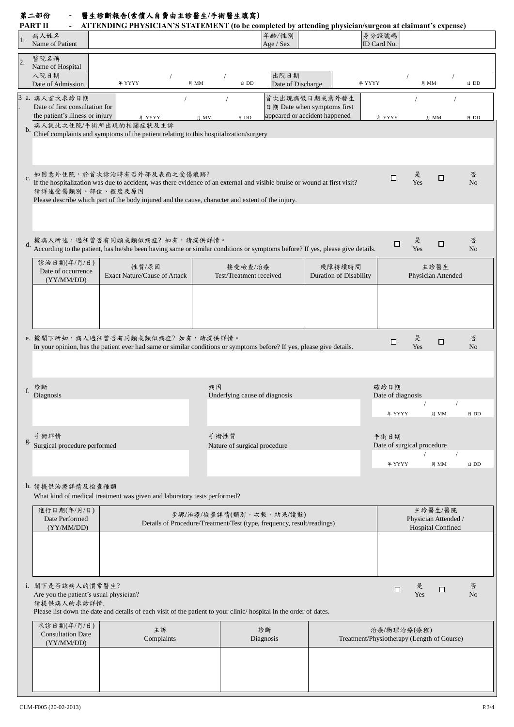## 第二部份 **-** 醫生診斷報告**(**索償人自費由主診醫生**/**手術醫生填寫**)**

| PART II |  | ATTENDING PHYSICIAN'S STATEMENT (to be completed by attending physician/surgeon at claimant's expense) |  |  |  |  |  |
|---------|--|--------------------------------------------------------------------------------------------------------|--|--|--|--|--|
|---------|--|--------------------------------------------------------------------------------------------------------|--|--|--|--|--|

|                  | PART II                                                                   | ATTENDING PHYSICIAN'S STATEMENT (to be completed by attending physician/surgeon at claimant's expense)                                                                                                                                                       |                                                                                                   |                           |                                                                               |                                                           |                                                             |                     |
|------------------|---------------------------------------------------------------------------|--------------------------------------------------------------------------------------------------------------------------------------------------------------------------------------------------------------------------------------------------------------|---------------------------------------------------------------------------------------------------|---------------------------|-------------------------------------------------------------------------------|-----------------------------------------------------------|-------------------------------------------------------------|---------------------|
| 1.               | 病人姓名<br>Name of Patient                                                   |                                                                                                                                                                                                                                                              |                                                                                                   | 年龄/性别<br>Age / Sex        |                                                                               | 身分證號碼<br>ID Card No.                                      |                                                             |                     |
| $\overline{2}$ . | 醫院名稱<br>Name of Hospital                                                  |                                                                                                                                                                                                                                                              |                                                                                                   |                           |                                                                               |                                                           |                                                             |                     |
|                  | 入院日期<br>Date of Admission                                                 | 年 YYYY                                                                                                                                                                                                                                                       | 日 DD<br>月 MM                                                                                      | 出院日期<br>Date of Discharge |                                                                               | 年 YYYY                                                    | 月 MM                                                        | 日 DD                |
|                  | 3 a. 病人首次求診日期<br>Date of first consultation for                           |                                                                                                                                                                                                                                                              | $\prime$                                                                                          |                           | 首次出現病徵日期或意外發生<br>日期 Date when symptoms first<br>appeared or accident happened |                                                           |                                                             |                     |
| $b$              | the patient's illness or injury                                           | 年 YYYY<br>病人就此次住院/手術所出現的相關症狀及主訴<br>Chief complaints and symptoms of the patient relating to this hospitalization/surgery                                                                                                                                     | 月 MM<br>日 DD                                                                                      |                           |                                                                               | 年 YYYY                                                    | 月 MM                                                        | 日 DD                |
|                  |                                                                           |                                                                                                                                                                                                                                                              |                                                                                                   |                           |                                                                               |                                                           |                                                             |                     |
| $\mathbf{c}.$    | 請詳述受傷類別、部位、程度及原因                                                          | 如因意外住院,於首次診治時有否外部及表面之受傷痕跡?<br>If the hospitalization was due to accident, was there evidence of an external and visible bruise or wound at first visit?<br>Please describe which part of the body injured and the cause, character and extent of the injury. |                                                                                                   |                           |                                                                               | $\Box$                                                    | 是<br>□<br>Yes                                               | 否<br>No             |
| $d$ .            |                                                                           | 據病人所述,過往曾否有同類或類似病症? 如有,請提供詳情。<br>According to the patient, has he/she been having same or similar conditions or symptoms before? If yes, please give details.                                                                                                |                                                                                                   |                           |                                                                               | $\Box$                                                    | 是<br>□<br>Yes                                               | 否<br>No             |
|                  | 診治日期(年/月/日)<br>Date of occurrence<br>(YY/MM/DD)                           | 性質/原因<br>Exact Nature/Cause of Attack                                                                                                                                                                                                                        | 接受檢查/治療<br>Test/Treatment received                                                                |                           | 殘障持續時間<br><b>Duration of Disability</b>                                       |                                                           | 主診醫生<br>Physician Attended                                  |                     |
|                  |                                                                           |                                                                                                                                                                                                                                                              |                                                                                                   |                           |                                                                               |                                                           |                                                             |                     |
|                  |                                                                           | e. 據閣下所知, 病人過往曾否有同類或類似病症? 如有, 請提供詳情。<br>In your opinion, has the patient ever had same or similar conditions or symptoms before? If yes, please give details.                                                                                                |                                                                                                   |                           |                                                                               | $\Box$                                                    | 是<br>$\Box$<br>Yes                                          | 否<br>No             |
| f.               | 診斷<br>Diagnosis                                                           |                                                                                                                                                                                                                                                              | 病因<br>Underlying cause of diagnosis                                                               |                           |                                                                               | 確診日期<br>Date of diagnosis                                 |                                                             |                     |
|                  |                                                                           |                                                                                                                                                                                                                                                              |                                                                                                   |                           |                                                                               | 年 YYYY                                                    | 月 MM                                                        | 日 DD                |
| g.               | 手術詳情<br>Surgical procedure performed                                      |                                                                                                                                                                                                                                                              | 手術性質<br>Nature of surgical procedure                                                              |                           |                                                                               | 手術日期                                                      | Date of surgical procedure                                  |                     |
|                  |                                                                           |                                                                                                                                                                                                                                                              |                                                                                                   |                           |                                                                               | 年 YYYY                                                    | 月 MM                                                        | 日 DD                |
|                  | h. 請提供治療詳情及檢查種類                                                           | What kind of medical treatment was given and laboratory tests performed?                                                                                                                                                                                     |                                                                                                   |                           |                                                                               |                                                           |                                                             |                     |
|                  | 進行日期(年/月/日)<br>Date Performed<br>(YY/MM/DD)                               |                                                                                                                                                                                                                                                              | 步驟/治療/檢查詳情(類別,次數,結果/讀數)<br>Details of Procedure/Treatment/Test (type, frequency, result/readings) |                           |                                                                               |                                                           | 主診醫生/醫院<br>Physician Attended /<br><b>Hospital Confined</b> |                     |
|                  |                                                                           |                                                                                                                                                                                                                                                              |                                                                                                   |                           |                                                                               |                                                           |                                                             |                     |
|                  | i. 閣下是否該病人的慣常醫生?<br>Are you the patient's usual physician?<br>請提供病人的求診詳情. | Please list down the date and details of each visit of the patient to your clinic/hospital in the order of dates.                                                                                                                                            |                                                                                                   |                           |                                                                               | □                                                         | 是<br>□<br>Yes                                               | 否<br>N <sub>o</sub> |
|                  | 求診日期(年/月/日)<br><b>Consultation Date</b><br>(YY/MM/DD)                     | 主訴<br>Complaints                                                                                                                                                                                                                                             |                                                                                                   | 診斷<br>Diagnosis           |                                                                               | 治療/物理治療(療程)<br>Treatment/Physiotherapy (Length of Course) |                                                             |                     |
|                  |                                                                           |                                                                                                                                                                                                                                                              |                                                                                                   |                           |                                                                               |                                                           |                                                             |                     |